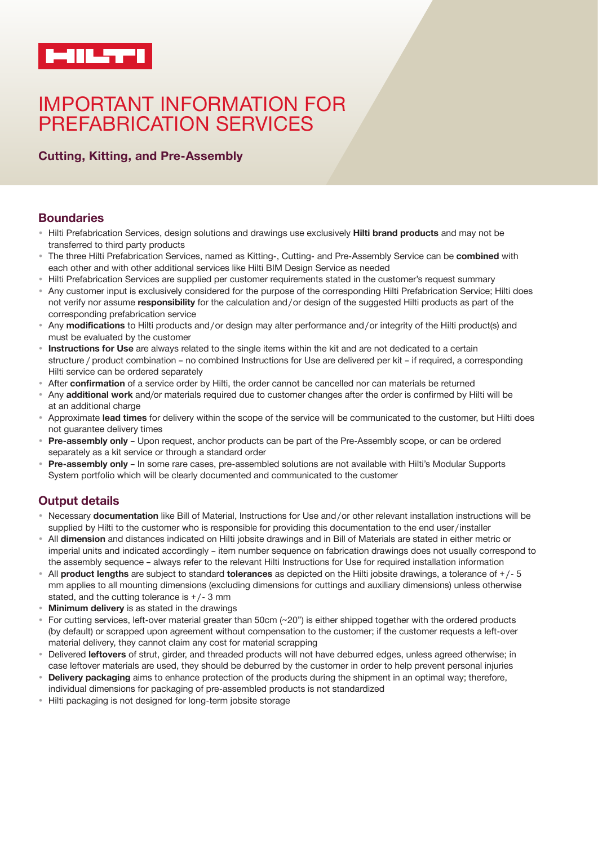

# IMPORTANT INFORMATION FOR PREFABRICATION SERVICES

## **Cutting, Kitting, and Pre-Assembly**

## **Boundaries**

- Hilti Prefabrication Services, design solutions and drawings use exclusively **Hilti brand products** and may not be transferred to third party products
- The three Hilti Prefabrication Services, named as Kitting-, Cutting- and Pre-Assembly Service can be **combined** with each other and with other additional services like Hilti BIM Design Service as needed
- Hilti Prefabrication Services are supplied per customer requirements stated in the customer's request summary
- Any customer input is exclusively considered for the purpose of the corresponding Hilti Prefabrication Service; Hilti does not verify nor assume **responsibility** for the calculation and / or design of the suggested Hilti products as part of the corresponding prefabrication service
- Any **modifications** to Hilti products and / or design may alter performance and / or integrity of the Hilti product(s) and must be evaluated by the customer
- **Instructions for Use** are always related to the single items within the kit and are not dedicated to a certain structure / product combination – no combined Instructions for Use are delivered per kit – if required, a corresponding Hilti service can be ordered separately
- After **confirmation** of a service order by Hilti, the order cannot be cancelled nor can materials be returned
- Any **additional work** and/or materials required due to customer changes after the order is confirmed by Hilti will be at an additional charge
- Approximate **lead times** for delivery within the scope of the service will be communicated to the customer, but Hilti does not guarantee delivery times
- **Pre-assembly only**  Upon request, anchor products can be part of the Pre-Assembly scope, or can be ordered separately as a kit service or through a standard order
- **Pre-assembly only**  In some rare cases, pre-assembled solutions are not available with Hilti's Modular Supports System portfolio which will be clearly documented and communicated to the customer

## **Output details**

- Necessary **documentation** like Bill of Material, Instructions for Use and / or other relevant installation instructions will be supplied by Hilti to the customer who is responsible for providing this documentation to the end user/installer
- All **dimension** and distances indicated on Hilti jobsite drawings and in Bill of Materials are stated in either metric or imperial units and indicated accordingly – item number sequence on fabrication drawings does not usually correspond to the assembly sequence – always refer to the relevant Hilti Instructions for Use for required installation information
- All **product lengths** are subject to standard **tolerances** as depicted on the Hilti jobsite drawings, a tolerance of + / - 5 mm applies to all mounting dimensions (excluding dimensions for cuttings and auxiliary dimensions) unless otherwise stated, and the cutting tolerance is  $+/-3$  mm
- **Minimum delivery** is as stated in the drawings
- For cutting services, left-over material greater than 50cm (~20") is either shipped together with the ordered products (by default) or scrapped upon agreement without compensation to the customer; if the customer requests a left-over material delivery, they cannot claim any cost for material scrapping
- Delivered **leftovers** of strut, girder, and threaded products will not have deburred edges, unless agreed otherwise; in case leftover materials are used, they should be deburred by the customer in order to help prevent personal injuries
- **Delivery packaging** aims to enhance protection of the products during the shipment in an optimal way; therefore, individual dimensions for packaging of pre-assembled products is not standardized
- Hilti packaging is not designed for long-term jobsite storage